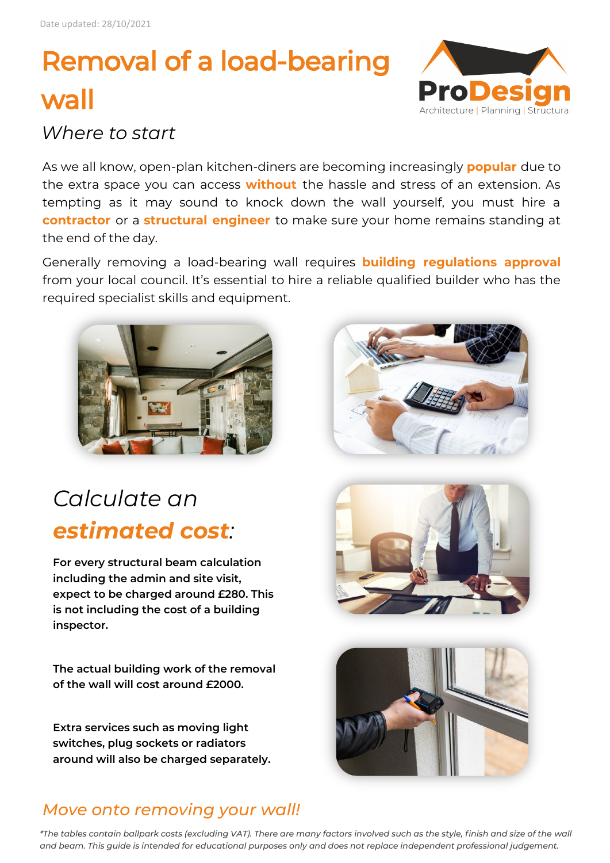# Removal of a load-bearing wall



#### *Where to start*

As we all know, open-plan kitchen-diners are becoming increasingly **popular** due to the extra space you can access **without** the hassle and stress of an extension. As tempting as it may sound to knock down the wall yourself, you must hire a **contractor** or a **structural engineer** to make sure your home remains standing at the end of the day.

Generally removing a load-bearing wall requires **building regulations approval**  from your local council. It's essential to hire a reliable qualified builder who has the required specialist skills and equipment.



### *Calculate an estimated cost:*

**For every structural beam calculation including the admin and site visit, expect to be charged around £280. This is not including the cost of a building inspector.**

**The actual building work of the removal of the wall will cost around £2000.** 

**Extra services such as moving light switches, plug sockets or radiators around will also be charged separately.**







#### *Move onto removing your wall!*

*\*The tables contain ballpark costs (excluding VAT). There are many factors involved such as the style, finish and size of the wall and beam. This guide is intended for educational purposes only and does not replace independent professional judgement.*